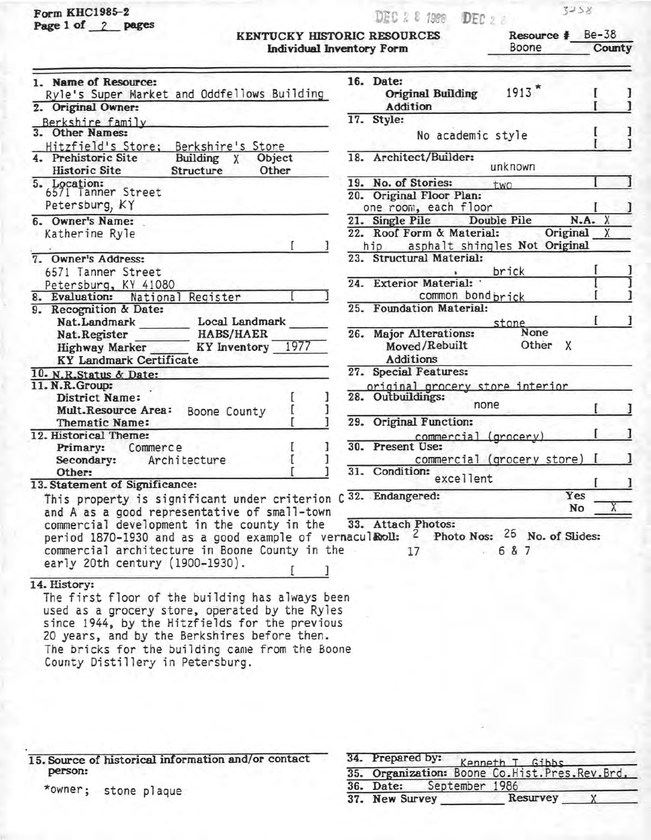**Form KHC1985-2**<br>**Page 1 of 2 pages** 

## **Page <sup>1</sup> of ? pages** *DEC ^ <sup>t</sup> m DB li*

 $3258$ 

**KENTUCKY HISTORIC RESOURCES Individual Inventory Form**

Resource #\_ Boone  $Be-30$ **County**

| 1. Name of Resource:<br>Ryle's Super Market and Oddfellows Building<br>2. Original Owner:                                                                                                                                                         | 16. Date:<br>$1913*$<br><b>Original Building</b><br>Addition                                  |
|---------------------------------------------------------------------------------------------------------------------------------------------------------------------------------------------------------------------------------------------------|-----------------------------------------------------------------------------------------------|
| Berkshire family                                                                                                                                                                                                                                  | 17. Style:                                                                                    |
| 3. Other Names:<br>Hitzfield's Store; Berkshire's Store                                                                                                                                                                                           | No academic style                                                                             |
| 4. Prehistoric Site<br>Building X<br>Object<br><b>Historic Site</b><br><b>Structure</b><br>Other                                                                                                                                                  | 18. Architect/Builder:<br>unknown                                                             |
| 5. Location:<br>6571 Tanner Street<br>Petersburg, KY                                                                                                                                                                                              | 19. No. of Stories:<br>two<br>20. Original Floor Plan:<br>one room, each floor                |
| 6. Owner's Name:                                                                                                                                                                                                                                  | Double Pile<br>N.A. X<br>21. Single Pile                                                      |
| Katherine Ryle                                                                                                                                                                                                                                    | 22. Roof Form & Material:<br>$\mathsf{X}$<br>Original<br>asphalt shingles Not Original<br>hip |
| 7. Owner's Address:                                                                                                                                                                                                                               | 23. Structural Material:                                                                      |
| 6571 Tanner Street                                                                                                                                                                                                                                | brick                                                                                         |
| Petersburg, KY 41080                                                                                                                                                                                                                              | 24. Exterior Material:                                                                        |
| 8. Evaluation:<br><b>National</b><br>Register                                                                                                                                                                                                     | common bond brick                                                                             |
| 9. Recognition & Date:<br>Local Landmark<br>Nat.Landmark                                                                                                                                                                                          | 25. Foundation Material:<br>stone                                                             |
| <b>HABS/HAER</b><br>Nat.Register<br>KY Inventory 1977<br><b>Highway Marker</b><br><b>KY Landmark Certificate</b>                                                                                                                                  | None<br>26. Major Alterations:<br>Other<br>$\mathsf{X}$<br>Moved/Rebuilt<br>Additions         |
| 10. N.R.Status & Date:                                                                                                                                                                                                                            | 27. Special Features:                                                                         |
| 11. N.R.Group:                                                                                                                                                                                                                                    | original grocery store interior                                                               |
| <b>District Name:</b>                                                                                                                                                                                                                             | 28. Outbuildings:<br>none                                                                     |
| Mult.Resource Area:<br>Boone County<br>Thematic Name:                                                                                                                                                                                             | 29. Original Function:                                                                        |
| 12. Historical Theme:                                                                                                                                                                                                                             |                                                                                               |
| Commerce                                                                                                                                                                                                                                          | commercial (grocery)<br>30. Present Use:                                                      |
| Primary:<br>Architecture<br>Secondary:                                                                                                                                                                                                            | commercial (grocery store)                                                                    |
| Other:                                                                                                                                                                                                                                            | 31. Condition:                                                                                |
| 13. Statement of Significance:                                                                                                                                                                                                                    | excellent                                                                                     |
| This property is significant under criterion C                                                                                                                                                                                                    | Yes<br>32. Endangered:                                                                        |
| and A as a good representative of small-town                                                                                                                                                                                                      | No                                                                                            |
| commercial development in the county in the<br>period 1870-1930 and as a good example of vernacul Roll: <sup>2</sup> Photo Nos: <sup>26</sup> No. of Slides:<br>commercial architecture in Boone County in the<br>early 20th century (1900-1930). | 33. Attach Photos:<br>6 & 7<br>17                                                             |
| 14. History:                                                                                                                                                                                                                                      |                                                                                               |
| The first floor of the building has always been<br>used as a grocery store, operated by the Ryles<br>since 1944, by the Hitzfields for the previous<br>20 years, and by the Berkshires before then.                                               |                                                                                               |

| 15. Source of historical information and/or contact | 34. Prepared by: Kenneth T. Gibbs             |
|-----------------------------------------------------|-----------------------------------------------|
| person:                                             | 35. Organization: Boone Co.Hist.Pres.Rev.Brd. |
| *owner; stone plaque                                | 36. Date: September 1986                      |
|                                                     | Resurvey<br>37. New Survey                    |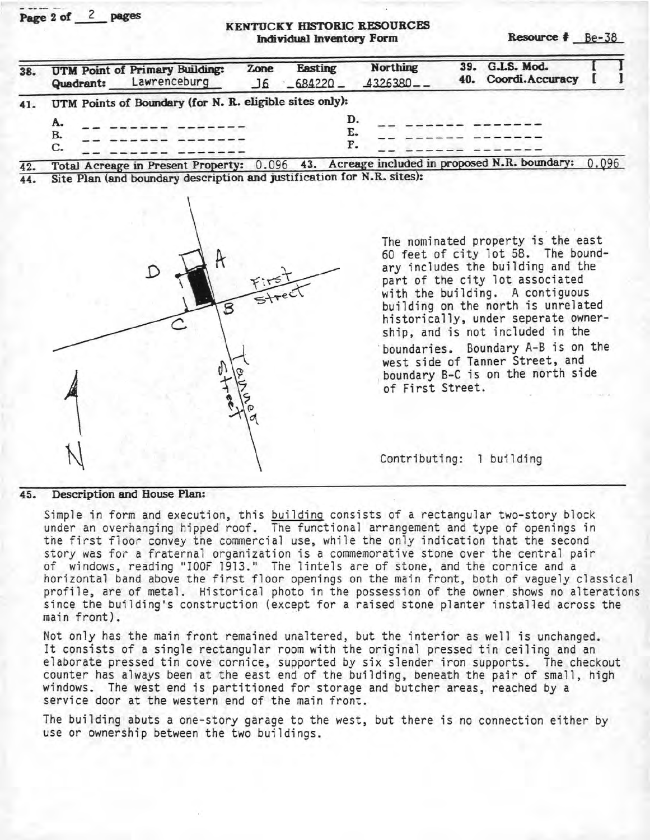### **Page <sup>2</sup> of pages KENTUCKY HISTORIC RESOURCES Individual Inventory Form** Resource # Be-38

| 38. | UTM Point of Primary Building:<br>Lawrenceburg<br>Quadrant: | Zone | <b>Easting</b><br>684220 | <b>Northing</b><br>$4326380 -$ | 39. G.L.S. Mod.<br>40. Coordi.Accuracy |  |
|-----|-------------------------------------------------------------|------|--------------------------|--------------------------------|----------------------------------------|--|
| 41. | UTM Points of Boundary (for N. R. eligible sites only):     |      |                          |                                |                                        |  |
|     |                                                             |      |                          |                                |                                        |  |
|     | Α.<br>B.                                                    |      | E.                       |                                |                                        |  |

42. Total Acreage in Present Property: 0.096 43. Acreage included in proposed N. 44. Site Plan (and boundary description and justification for N.R. sites):



The nominated property is the east <sup>60</sup> feet of city lot 58. The boundary includes the building and the part of the city lot associated with the building. <sup>A</sup> contiguous building on the north is unrelated historically, under seperate ownership, and is not included in the boundaries. Boundary A-B is on the west side of Tanner Street, and boundary B-C is on the north side of First Street.

Contributing: <sup>1</sup> building

#### 45. Description and House Plan:

Simple in form and execution, this building consists of <sup>a</sup> rectangular two-story block under an overhanging hipped roof. The functional arrangement and type of openings in the first floor convey the commercial use, while the only indication that the second<br>story was for a fraternal organization is a commemorative stone over the central pair story was for a fraternal organization is a commemorative stone over the central pair<br>of windows, reading "IOOF 1913.", The lintels are of stone, and the cornice and a of windows, reading "100F 1913." The lintels are of stone, and the cornice and a<br>horizontal band above the first floor openings on the main front, both of vaquely. horizontal band above the first floor openings on the main front, both of vaguely classical profile, are of metal. Historical photo in the possession of the owner shows no alterations since the building's construction (except for <sup>a</sup> raised stone planter installed across the main front).

Not only has the main front remained unaltered, but the interior as well is unchanged. It consists of <sup>a</sup> single rectangular room with the original pressed tin ceiling and an elaborate pressed tin cove cornice, supported by six slender iron supports. The checkout counter has always been at the east end of the building, beneath the pair of small, high windows. The west end is partitioned for storage and butcher areas, reached by <sup>a</sup> service door at the western end of the main front.

The building abuts <sup>a</sup> one-story garage to the west, but there is no connection either by use or ownership between the two buildings.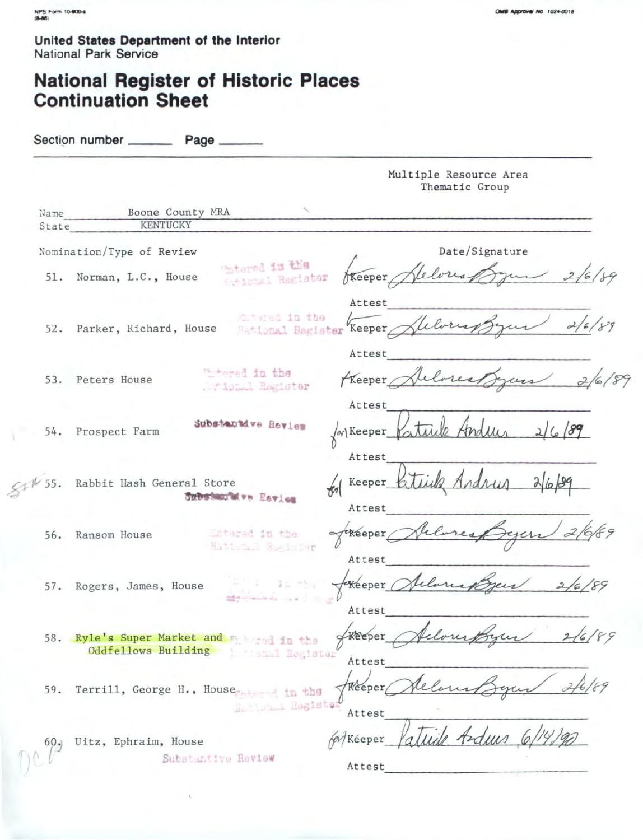NPS Form 10-800-4<br>(8-86)

OMB Approval No. 1024-0018

United States Department of the Interior<br>National Park Service

## **National Register of Historic Places<br>Continuation Sheet**

Section number \_\_\_\_\_\_\_\_\_\_ Page \_\_\_\_\_\_\_

|               |                                                                                        | Multiple Resource Area<br>Thematic Group        |
|---------------|----------------------------------------------------------------------------------------|-------------------------------------------------|
| Name<br>State | Boone County MRA<br>KENTUCKY                                                           |                                                 |
|               | Nomination/Type of Review                                                              | Date/Signature                                  |
|               | 'ntered in the<br>51. Norman, L.C., House<br>Worthwal Register                         | $\sim$<br>2/6/89<br>Keeper                      |
|               | Mitured in the<br>52. Parker, Richard, House                                           | Attest<br>Mational Bagistar Keeper              |
|               | Titered in the<br>53. Peters House<br>Autional Register                                | Attest<br>$f$ Keeper                            |
| 54.           | Substantdve Review<br>Prospect Farm                                                    | Attest<br>for Keeper Particle Andres 2/6/89     |
|               | 4 55. Rabbit Hash General Store<br>Substanted vs Eavies                                | Attest<br>rdrus<br>2/6/99<br>Keeper K<br>Attest |
| 56.           | Entared in the<br>Ransom House<br>Nati-tal Sagister                                    | Réeper<br>Attest                                |
|               | 57. Rogers, James, House<br>THE REVIEW OF SHIP                                         | <i>Fe</i> keeper (<br>Attest                    |
|               | 58. Ryle's Super Market and we seed in the<br>Oddfellows Building<br>1 ''smil Register | $\prime$<br>$\sqrt{2}$<br>Attest                |
|               | 59. Terrill, George H., House at the the<br>Machunal Hagister                          | Attest                                          |
|               | 60. Uitz, Ephraim, House<br>Substantive Review                                         | Kéeper<br>Attest                                |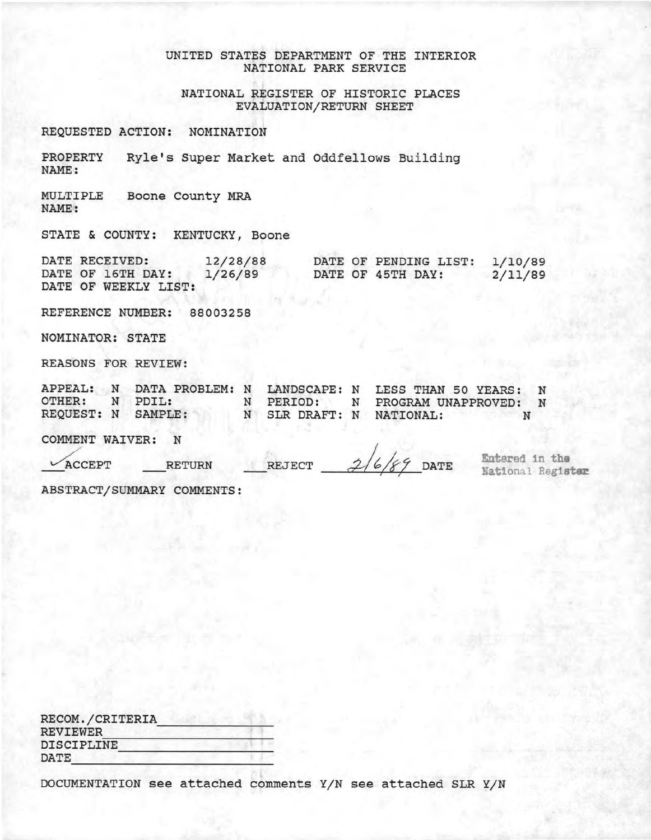#### UNITED STATES DEPARTMENT OF THE INTERIOR NATIONAL PARK SERVICE

## NATIONAL REGISTER OF HISTORIC PLACES EVALUATION/RETURN SHEET

#### REQUESTED ACTION: NOMINATION

PROPERTY NAME: Ryle's Super Market and Oddfellows Building

MULTIPLE BOONE COUNTY MRA NAME:

STATE & COUNTY: KENTUCKY, Boone

DATE RECEIVED: 12/28/88 DATE OF 16TH DAY: 1/26/8<br>DATE OF WEEKIV ITOT. DATE OF WEEKLY LIST: DATE OF PENDING LIST: 1/10/89 DATE OF 45TH DAY: 2/11/89

REFERENCE NUMBER: 88003258

NOMINATOR: STATE

REASONS FOR REVIEW:

|                |                    |                          | APPEAL: N DATA PROBLEM: N LANDSCAPE: N LESS THAN 50 YEARS: N |  |
|----------------|--------------------|--------------------------|--------------------------------------------------------------|--|
| OTHER: N PDIL: |                    |                          | N PERIOD: N PROGRAM UNAPPROVED: N                            |  |
|                | REOUEST: N SAMPLE: | N SLR DRAFT: N NATIONAL: | N                                                            |  |

 $\sqrt{1}$ 

COMMENT WAIVER: N

| $\sqrt{\text{ACCEPT}}$ | RETURN | REJECT | $2/6/89$ DATE |  |
|------------------------|--------|--------|---------------|--|
|                        |        |        |               |  |

Entered in the National Register

ABSTRACT/SUMMARY COMMENTS:

| RECOM./CRITERIA<br><b>REVIEWER</b> |  |
|------------------------------------|--|
| <b>DISCIPLINE</b>                  |  |
| <b>DATE</b>                        |  |

DOCUMENTATION see attached comments Y/N see attached SLR Y/N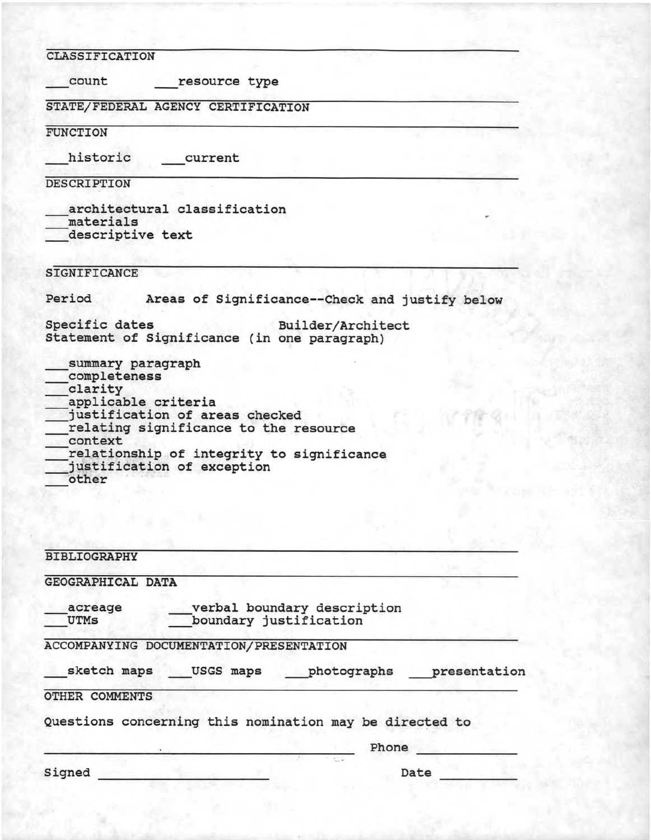#### CLASSIFICATION

count resource type

STATE/FEDERAL AGENCY CERTIFICATION

FUNCTION

historic current

DESCRIPTION

architectural classification materials descriptive text

SIGNIFICANCE

Period Areas of Significance—Check and justify below

*'fit ^*

Specific dates Builder/Architect<br>Statement of Significance (in one naragraph) Statement of Significance (in one paragraph)

- summary paragraph
- completeness
- clarity
- applicable criteria
- justification of areas checked
- ^relating significance to the resource
- ^context
- relationship of integrity to significance
- justification of exception
- other

BIBLIOGRAPHY GEOGRAPHICAL DATA acreage "UTMs verbal boundary description boundary justification ACCOMPANYING DOCUMENTATION/PRESENTATION sketch maps \_\_\_\_ USGS maps \_\_\_\_photographs \_\_\_presentation OTHER COMMENTS Questions concerning this nomination may be directed to Phone Signed Date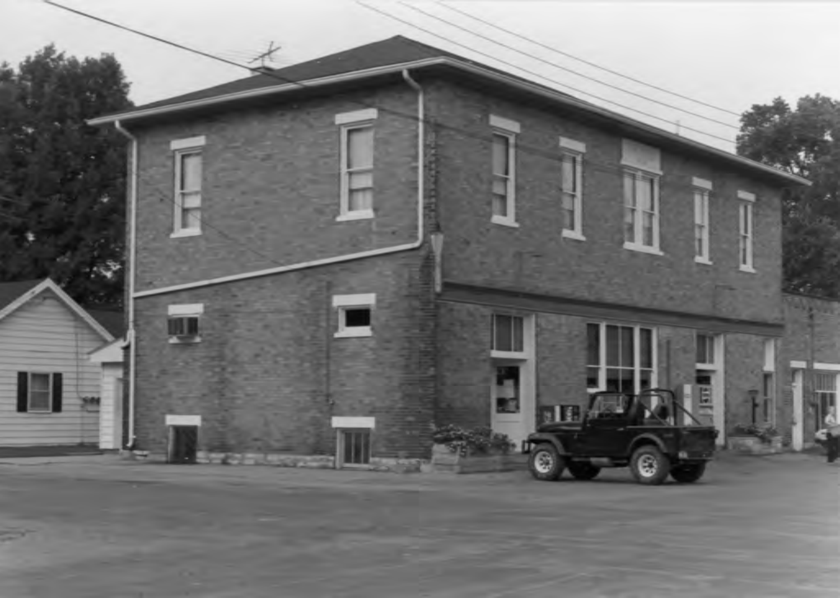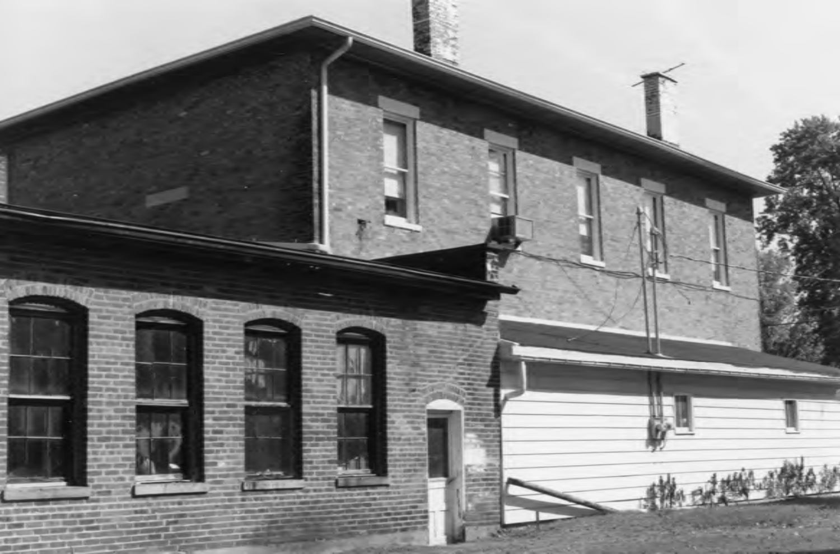